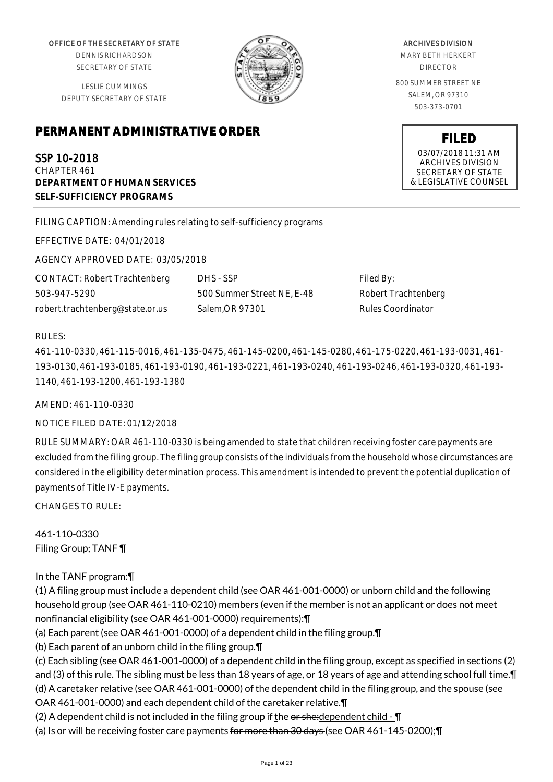OFFICE OF THE SECRETARY OF STATE

DENNIS RICHARDSON SECRETARY OF STATE

LESLIE CUMMINGS DEPUTY SECRETARY OF STATE

# **PERMANENT ADMINISTRATIVE ORDER**

SSP 10-2018 CHAPTER 461 **DEPARTMENT OF HUMAN SERVICES SELF-SUFFICIENCY PROGRAMS**

FILING CAPTION: Amending rules relating to self-sufficiency programs

EFFECTIVE DATE: 04/01/2018

AGENCY APPROVED DATE: 03/05/2018

CONTACT: Robert Trachtenberg 503-947-5290 robert.trachtenberg@state.or.us

DHS - SSP 500 Summer Street NE, E-48 Salem,OR 97301

Filed By: Robert Trachtenberg Rules Coordinator

## RULES:

461-110-0330, 461-115-0016, 461-135-0475, 461-145-0200, 461-145-0280, 461-175-0220, 461-193-0031, 461- 193-0130, 461-193-0185, 461-193-0190, 461-193-0221, 461-193-0240, 461-193-0246, 461-193-0320, 461-193- 1140, 461-193-1200, 461-193-1380

AMEND: 461-110-0330

NOTICE FILED DATE: 01/12/2018

RULE SUMMARY: OAR 461-110-0330 is being amended to state that children receiving foster care payments are excluded from the filing group. The filing group consists of the individuals from the household whose circumstances are considered in the eligibility determination process. This amendment is intended to prevent the potential duplication of payments of Title IV-E payments.

 $CHANGFS TO RIIF$ 

461-110-0330 Filing Group; TANF ¶

# In the TANF program:¶

(1) A filing group must include a dependent child (see OAR 461-001-0000) or unborn child and the following household group (see OAR 461-110-0210) members (even if the member is not an applicant or does not meet nonfinancial eligibility (see OAR 461-001-0000) requirements):¶

(a) Each parent (see OAR 461-001-0000) of a dependent child in the filing group.¶

(b) Each parent of an unborn child in the filing group.¶

(c) Each sibling (see OAR 461-001-0000) of a dependent child in the filing group, except as specified in sections (2) and (3) of this rule. The sibling must be less than 18 years of age, or 18 years of age and attending school full time. I (d) A caretaker relative (see OAR 461-001-0000) of the dependent child in the filing group, and the spouse (see OAR 461-001-0000) and each dependent child of the caretaker relative.¶

(2) A dependent child is not included in the filing group if the  $\theta$  or sheed ependent child -  $\P$ 

(a) Is or will be receiving foster care payments for more than 30 days (see OAR 461-145-0200);¶

ARCHIVES DIVISION

MARY BETH HERKERT DIRECTOR

800 SUMMER STREET NE SALEM, OR 97310 503-373-0701

> **FILED** 03/07/2018 11:31 AM ARCHIVES DIVISION SECRETARY OF STATE & LEGISLATIVE COUNSEL

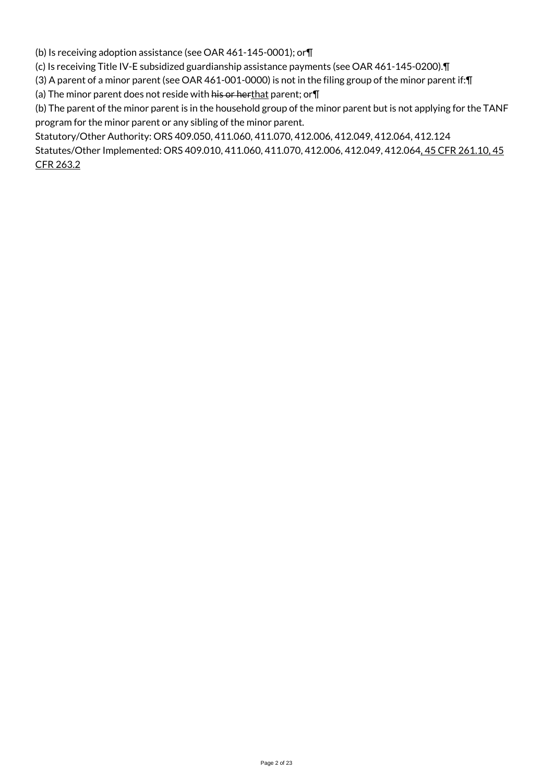(b) Is receiving adoption assistance (see OAR 461-145-0001); or¶

(c) Is receiving Title IV-E subsidized guardianship assistance payments (see OAR 461-145-0200).¶

(3) A parent of a minor parent (see OAR 461-001-0000) is not in the filing group of the minor parent if:¶

(a) The minor parent does not reside with his or herthat parent; or $\P$ 

(b) The parent of the minor parent is in the household group of the minor parent but is not applying for the TANF program for the minor parent or any sibling of the minor parent.

Statutory/Other Authority: ORS 409.050, 411.060, 411.070, 412.006, 412.049, 412.064, 412.124 Statutes/Other Implemented: ORS 409.010, 411.060, 411.070, 412.006, 412.049, 412.064, 45 CFR 261.10, 45 CFR 263.2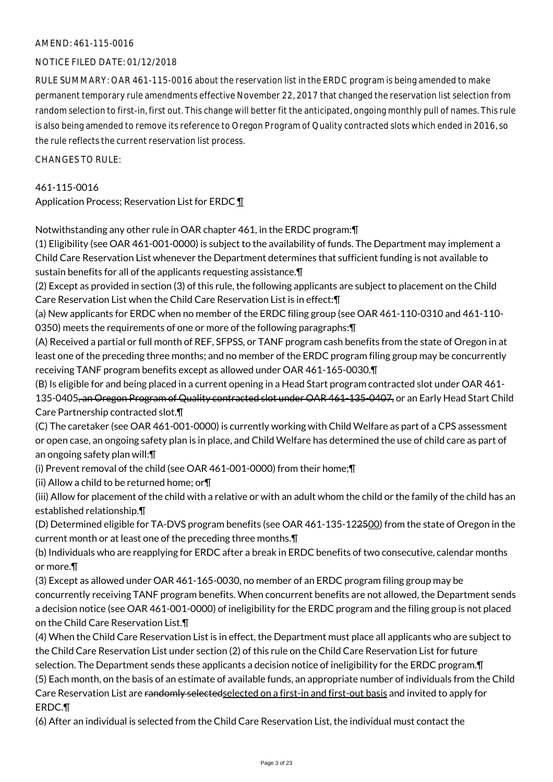## AMEND: 461-115-0016

# NOTICE FILED DATE: 01/12/2018

RULE SUMMARY: OAR 461-115-0016 about the reservation list in the ERDC program is being amended to make permanent temporary rule amendments effective November 22, 2017 that changed the reservation list selection from random selection to first-in, first out. This change will better fit the anticipated, ongoing monthly pull of names. This rule is also being amended to remove its reference to Oregon Program of Quality contracted slots which ended in 2016, so the rule reflects the current reservation list process.

 $CHANGESTORUIF$ 

461-115-0016 Application Process; Reservation List for ERDC ¶

Notwithstanding any other rule in OAR chapter 461, in the ERDC program:¶

(1) Eligibility (see OAR 461-001-0000) is subject to the availability of funds. The Department may implement a Child Care Reservation List whenever the Department determines that sufficient funding is not available to sustain benefits for all of the applicants requesting assistance.¶

(2) Except as provided in section (3) of this rule, the following applicants are subject to placement on the Child Care Reservation List when the Child Care Reservation List is in effect:¶

(a) New applicants for ERDC when no member of the ERDC filing group (see OAR 461-110-0310 and 461-110- 0350) meets the requirements of one or more of the following paragraphs:¶

(A) Received a partial or full month of REF, SFPSS, or TANF program cash benefits from the state of Oregon in at least one of the preceding three months; and no member of the ERDC program filing group may be concurrently receiving TANF program benefits except as allowed under OAR 461-165-0030.¶

(B) Is eligible for and being placed in a current opening in a Head Start program contracted slot under OAR 461- 135-0405, an Oregon Program of Quality contracted slot under OAR 461-135-0407, or an Early Head Start Child Care Partnership contracted slot.¶

(C) The caretaker (see OAR 461-001-0000) is currently working with Child Welfare as part of a CPS assessment or open case, an ongoing safety plan is in place, and Child Welfare has determined the use of child care as part of an ongoing safety plan will:¶

(i) Prevent removal of the child (see OAR 461-001-0000) from their home;¶

(ii) Allow a child to be returned home; or¶

(iii) Allow for placement of the child with a relative or with an adult whom the child or the family of the child has an established relationship.¶

(D) Determined eligible for TA-DVS program benefits (see OAR 461-135-122500) from the state of Oregon in the current month or at least one of the preceding three months.¶

(b) Individuals who are reapplying for ERDC after a break in ERDC benefits of two consecutive, calendar months or more.¶

(3) Except as allowed under OAR 461-165-0030, no member of an ERDC program filing group may be concurrently receiving TANF program benefits. When concurrent benefits are not allowed, the Department sends a decision notice (see OAR 461-001-0000) of ineligibility for the ERDC program and the filing group is not placed on the Child Care Reservation List.¶

(4) When the Child Care Reservation List is in effect, the Department must place all applicants who are subject to the Child Care Reservation List under section (2) of this rule on the Child Care Reservation List for future selection. The Department sends these applicants a decision notice of ineligibility for the ERDC program.¶ (5) Each month, on the basis of an estimate of available funds, an appropriate number of individuals from the Child Care Reservation List are randomly selected selected on a first-in and first-out basis and invited to apply for ERDC.¶

(6) After an individual is selected from the Child Care Reservation List, the individual must contact the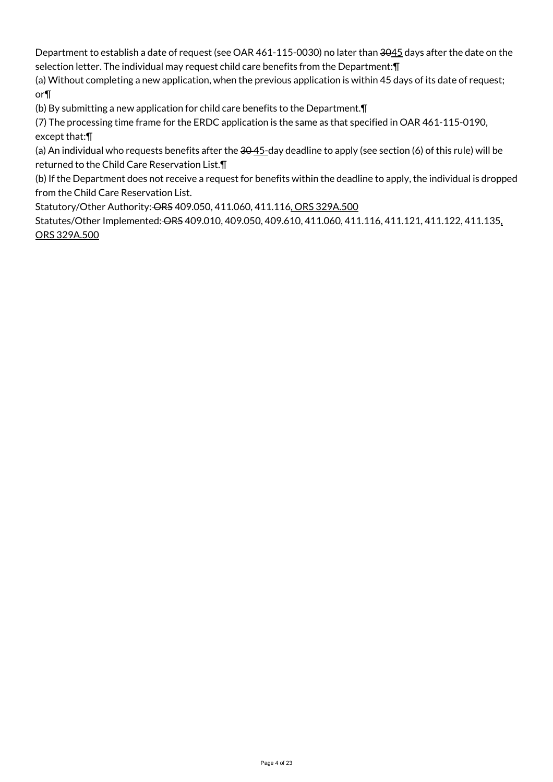Department to establish a date of request (see OAR 461-115-0030) no later than 3045 days after the date on the selection letter. The individual may request child care benefits from the Department:¶

(a) Without completing a new application, when the previous application is within 45 days of its date of request; or¶

(b) By submitting a new application for child care benefits to the Department.¶

(7) The processing time frame for the ERDC application is the same as that specified in OAR 461-115-0190, except that:¶

(a) An individual who requests benefits after the  $30-45$ -day deadline to apply (see section (6) of this rule) will be returned to the Child Care Reservation List.¶

(b) If the Department does not receive a request for benefits within the deadline to apply, the individual is dropped from the Child Care Reservation List.

Statutory/Other Authority: ORS 409.050, 411.060, 411.116, ORS 329A.500

Statutes/Other Implemented: ORS 409.010, 409.050, 409.610, 411.060, 411.116, 411.121, 411.122, 411.135, ORS 329A.500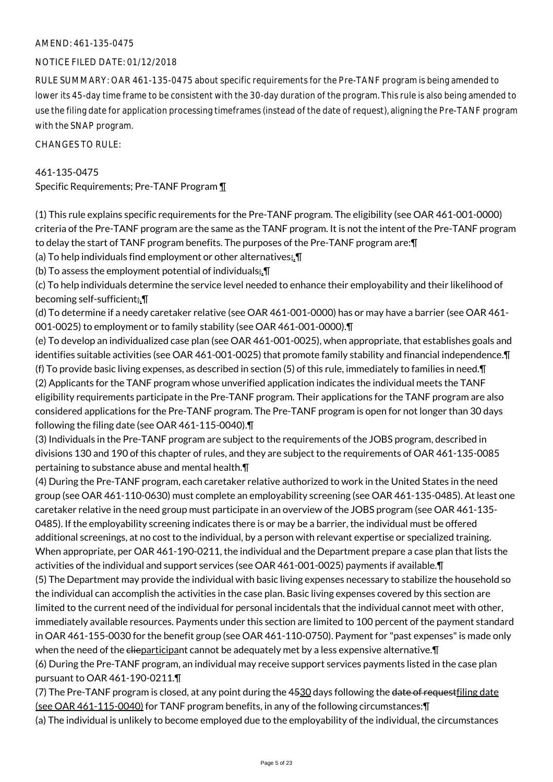## AMEND: 461-135-0475

## NOTICE FILED DATE: 01/12/2018

RULE SUMMARY: OAR 461-135-0475 about specific requirements for the Pre-TANF program is being amended to lower its 45-day time frame to be consistent with the 30-day duration of the program. This rule is also being amended to use the filing date for application processing timeframes (instead of the date of request), aligning the Pre-TANF program with the SNAP program.

CHANGES TO RULE:

## 461-135-0475

Specific Requirements; Pre-TANF Program ¶

(1) This rule explains specific requirements for the Pre-TANF program. The eligibility (see OAR 461-001-0000) criteria of the Pre-TANF program are the same as the TANF program. It is not the intent of the Pre-TANF program to delay the start of TANF program benefits. The purposes of the Pre-TANF program are:¶

(a) To help individuals find employment or other alternatives; $\P$ 

(b) To assess the employment potential of individuals;.¶

(c) To help individuals determine the service level needed to enhance their employability and their likelihood of becoming self-sufficient;.¶

(d) To determine if a needy caretaker relative (see OAR 461-001-0000) has or may have a barrier (see OAR 461- 001-0025) to employment or to family stability (see OAR 461-001-0000).¶

(e) To develop an individualized case plan (see OAR 461-001-0025), when appropriate, that establishes goals and identifies suitable activities (see OAR 461-001-0025) that promote family stability and financial independence.¶ (f) To provide basic living expenses, as described in section (5) of this rule, immediately to families in need.¶ (2) Applicants for the TANF program whose unverified application indicates the individual meets the TANF eligibility requirements participate in the Pre-TANF program. Their applications for the TANF program are also considered applications for the Pre-TANF program. The Pre-TANF program is open for not longer than 30 days following the filing date (see OAR 461-115-0040).¶

(3) Individuals in the Pre-TANF program are subject to the requirements of the JOBS program, described in divisions 130 and 190 of this chapter of rules, and they are subject to the requirements of OAR 461-135-0085 pertaining to substance abuse and mental health.¶

(4) During the Pre-TANF program, each caretaker relative authorized to work in the United States in the need group (see OAR 461-110-0630) must complete an employability screening (see OAR 461-135-0485). At least one caretaker relative in the need group must participate in an overview of the JOBS program (see OAR 461-135- 0485). If the employability screening indicates there is or may be a barrier, the individual must be offered additional screenings, at no cost to the individual, by a person with relevant expertise or specialized training. When appropriate, per OAR 461-190-0211, the individual and the Department prepare a case plan that lists the activities of the individual and support services (see OAR 461-001-0025) payments if available.¶

(5) The Department may provide the individual with basic living expenses necessary to stabilize the household so the individual can accomplish the activities in the case plan. Basic living expenses covered by this section are limited to the current need of the individual for personal incidentals that the individual cannot meet with other, immediately available resources. Payments under this section are limited to 100 percent of the payment standard in OAR 461-155-0030 for the benefit group (see OAR 461-110-0750). Payment for "past expenses" is made only when the need of the elieparticipant cannot be adequately met by a less expensive alternative.  $\P$ 

(6) During the Pre-TANF program, an individual may receive support services payments listed in the case plan pursuant to OAR 461-190-0211.¶

(7) The Pre-TANF program is closed, at any point during the 4530 days following the date of request filing date (see OAR 461-115-0040) for TANF program benefits, in any of the following circumstances:¶

(a) The individual is unlikely to become employed due to the employability of the individual, the circumstances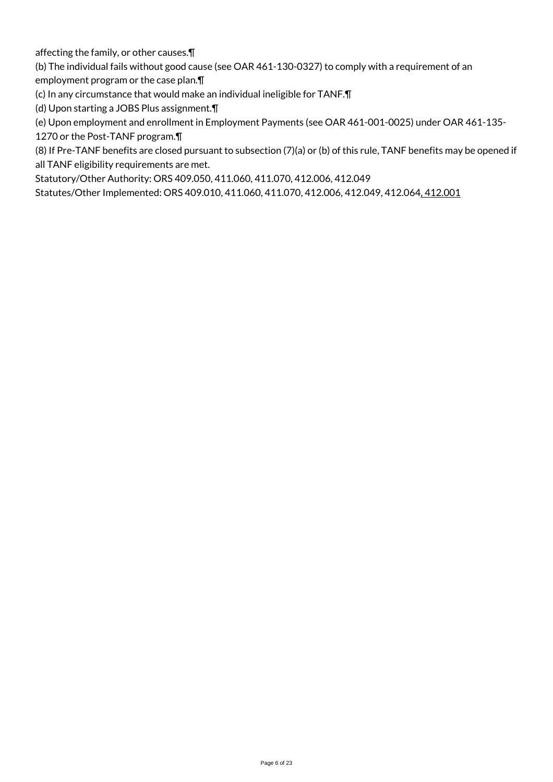affecting the family, or other causes.¶

(b) The individual fails without good cause (see OAR 461-130-0327) to comply with a requirement of an

employment program or the case plan.¶

(c) In any circumstance that would make an individual ineligible for TANF.¶

(d) Upon starting a JOBS Plus assignment.¶

(e) Upon employment and enrollment in Employment Payments (see OAR 461-001-0025) under OAR 461-135-

1270 or the Post-TANF program.¶

(8) If Pre-TANF benefits are closed pursuant to subsection (7)(a) or (b) of this rule, TANF benefits may be opened if all TANF eligibility requirements are met.

Statutory/Other Authority: ORS 409.050, 411.060, 411.070, 412.006, 412.049

Statutes/Other Implemented: ORS 409.010, 411.060, 411.070, 412.006, 412.049, 412.064, 412.001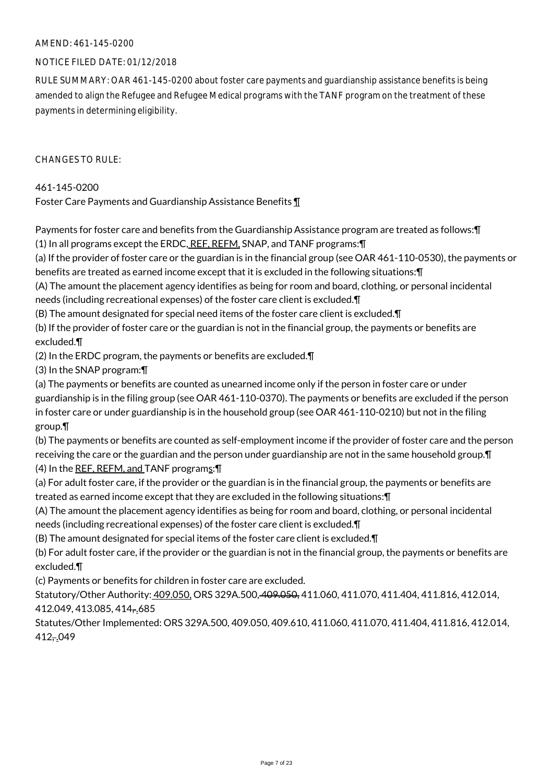## AMEND: 461-145-0200

## NOTICE FILED DATE: 01/12/2018

RULE SUMMARY: OAR 461-145-0200 about foster care payments and guardianship assistance benefits is being amended to align the Refugee and Refugee Medical programs with the TANF program on the treatment of these payments in determining eligibility.

 $CHANGFS TO RIIF$ 

461-145-0200

Foster Care Payments and Guardianship Assistance Benefits ¶

Payments for foster care and benefits from the Guardianship Assistance program are treated as follows:¶ (1) In all programs except the ERDC, REF, REFM, SNAP, and TANF programs: [

(a) If the provider of foster care or the guardian is in the financial group (see OAR 461-110-0530), the payments or benefits are treated as earned income except that it is excluded in the following situations:¶

(A) The amount the placement agency identifies as being for room and board, clothing, or personal incidental needs (including recreational expenses) of the foster care client is excluded.¶

(B) The amount designated for special need items of the foster care client is excluded.¶

(b) If the provider of foster care or the guardian is not in the financial group, the payments or benefits are excluded.¶

(2) In the ERDC program, the payments or benefits are excluded.¶

(3) In the SNAP program:¶

(a) The payments or benefits are counted as unearned income only if the person in foster care or under guardianship is in the filing group (see OAR 461-110-0370). The payments or benefits are excluded if the person in foster care or under guardianship is in the household group (see OAR 461-110-0210) but not in the filing group.¶

(b) The payments or benefits are counted as self-employment income if the provider of foster care and the person receiving the care or the guardian and the person under guardianship are not in the same household group.¶ (4) In the REF, REFM, and TANF programs: \[

(a) For adult foster care, if the provider or the guardian is in the financial group, the payments or benefits are treated as earned income except that they are excluded in the following situations:¶

(A) The amount the placement agency identifies as being for room and board, clothing, or personal incidental needs (including recreational expenses) of the foster care client is excluded.¶

(B) The amount designated for special items of the foster care client is excluded.¶

(b) For adult foster care, if the provider or the guardian is not in the financial group, the payments or benefits are excluded.¶

(c) Payments or benefits for children in foster care are excluded.

Statutory/Other Authority: 409.050, ORS 329A.500, 409.050, 411.060, 411.070, 411.404, 411.816, 412.014, 412.049, 413.085, 414, 685

Statutes/Other Implemented: ORS 329A.500, 409.050, 409.610, 411.060, 411.070, 411.404, 411.816, 412.014,  $412 - 049$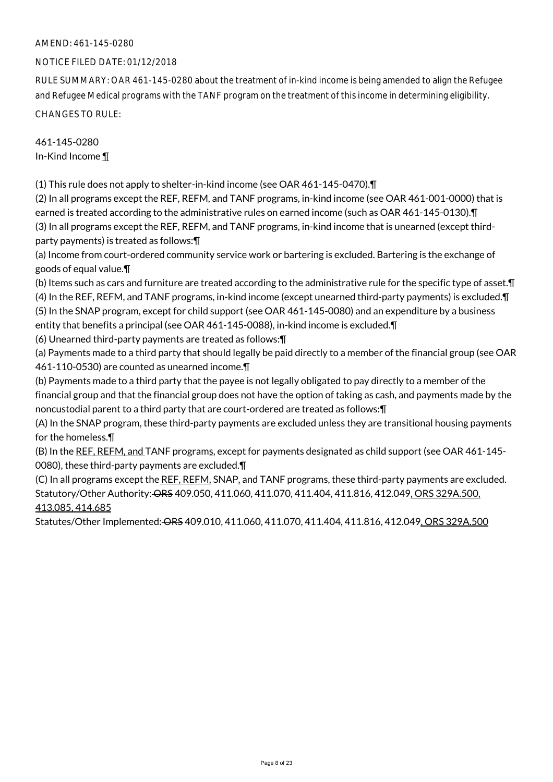# AMEND: 461-145-0280

## NOTICE FILED DATE: 01/12/2018

RULE SUMMARY: OAR 461-145-0280 about the treatment of in-kind income is being amended to align the Refugee and Refugee Medical programs with the TANF program on the treatment of this income in determining eligibility. CHANGES TO RULE:

461-145-0280 In-Kind Income ¶

(1) This rule does not apply to shelter-in-kind income (see OAR 461-145-0470).¶

(2) In all programs except the REF, REFM, and TANF programs, in-kind income (see OAR 461-001-0000) that is earned is treated according to the administrative rules on earned income (such as OAR 461-145-0130).¶ (3) In all programs except the REF, REFM, and TANF programs, in-kind income that is unearned (except thirdparty payments) is treated as follows:¶

(a) Income from court-ordered community service work or bartering is excluded. Bartering is the exchange of goods of equal value.¶

(b) Items such as cars and furniture are treated according to the administrative rule for the specific type of asset.¶ (4) In the REF, REFM, and TANF programs, in-kind income (except unearned third-party payments) is excluded.¶ (5) In the SNAP program, except for child support (see OAR 461-145-0080) and an expenditure by a business entity that benefits a principal (see OAR 461-145-0088), in-kind income is excluded.¶

(6) Unearned third-party payments are treated as follows:¶

(a) Payments made to a third party that should legally be paid directly to a member of the financial group (see OAR 461-110-0530) are counted as unearned income.¶

(b) Payments made to a third party that the payee is not legally obligated to pay directly to a member of the financial group and that the financial group does not have the option of taking as cash, and payments made by the noncustodial parent to a third party that are court-ordered are treated as follows:¶

(A) In the SNAP program, these third-party payments are excluded unless they are transitional housing payments for the homeless.¶

(B) In the REF, REFM, and TANF programs, except for payments designated as child support (see OAR 461-145-0080), these third-party payments are excluded.¶

(C) In all programs except the REF, REFM, SNAP, and TANF programs, these third-party payments are excluded. Statutory/Other Authority: ORS 409.050, 411.060, 411.070, 411.404, 411.816, 412.049, ORS 329A.500, 413.085, 414.685

Statutes/Other Implemented: ORS 409.010, 411.060, 411.070, 411.404, 411.816, 412.049, ORS 329A.500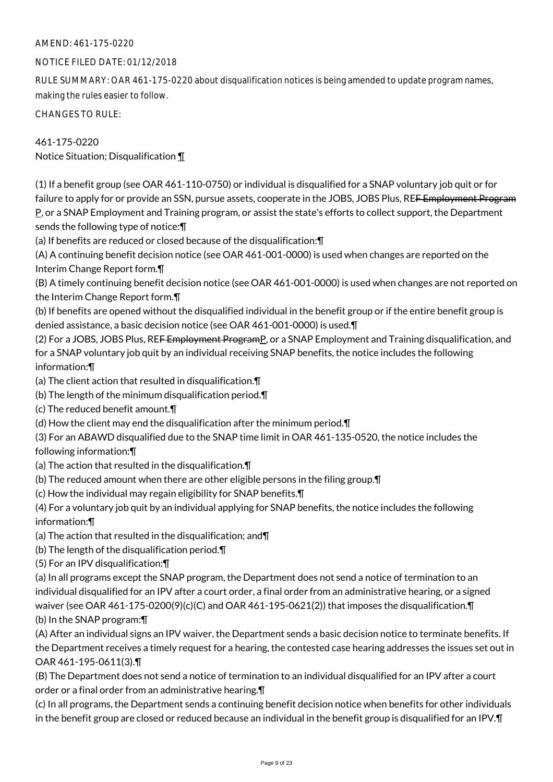# AMEND: 461-175-0220

# NOTICE FILED DATE: 01/12/2018

RULE SUMMARY: OAR 461-175-0220 about disqualification notices is being amended to update program names, making the rules easier to follow.

CHANGES TO RULE:

461-175-0220 Notice Situation; Disqualification ¶

(1) If a benefit group (see OAR 461-110-0750) or individual is disqualified for a SNAP voluntary job quit or for failure to apply for or provide an SSN, pursue assets, cooperate in the JOBS, JOBS Plus, RE<del>F Employment Program</del> P, or a SNAP Employment and Training program, or assist the state's efforts to collect support, the Department sends the following type of notice:¶

(a) If benefits are reduced or closed because of the disqualification:¶

(A) A continuing benefit decision notice (see OAR 461-001-0000) is used when changes are reported on the Interim Change Report form.¶

(B) A timely continuing benefit decision notice (see OAR 461-001-0000) is used when changes are not reported on the Interim Change Report form.¶

(b) If benefits are opened without the disqualified individual in the benefit group or if the entire benefit group is denied assistance, a basic decision notice (see OAR 461-001-0000) is used.¶

(2) For a JOBS, JOBS Plus, RE<del>F Employment Program</del>P, or a SNAP Employment and Training disqualification, and for a SNAP voluntary job quit by an individual receiving SNAP benefits, the notice includes the following information:¶

(a) The client action that resulted in disqualification.¶

(b) The length of the minimum disqualification period.¶

(c) The reduced benefit amount.¶

(d) How the client may end the disqualification after the minimum period.¶

(3) For an ABAWD disqualified due to the SNAP time limit in OAR 461-135-0520, the notice includes the following information:¶

(a) The action that resulted in the disqualification.¶

(b) The reduced amount when there are other eligible persons in the filing group.¶

(c) How the individual may regain eligibility for SNAP benefits.¶

(4) For a voluntary job quit by an individual applying for SNAP benefits, the notice includes the following information:¶

(a) The action that resulted in the disqualification; and¶

(b) The length of the disqualification period.¶

(5) For an IPV disqualification:¶

(a) In all programs except the SNAP program, the Department does not send a notice of termination to an individual disqualified for an IPV after a court order, a final order from an administrative hearing, or a signed waiver (see OAR 461-175-0200(9)(c)(C) and OAR 461-195-0621(2)) that imposes the disqualification.¶ (b) In the SNAP program:¶

(A) After an individual signs an IPV waiver, the Department sends a basic decision notice to terminate benefits. If the Department receives a timely request for a hearing, the contested case hearing addresses the issues set out in OAR 461-195-0611(3).¶

(B) The Department does not send a notice of termination to an individual disqualified for an IPV after a court order or a final order from an administrative hearing.¶

(c) In all programs, the Department sends a continuing benefit decision notice when benefits for other individuals in the benefit group are closed or reduced because an individual in the benefit group is disqualified for an IPV.¶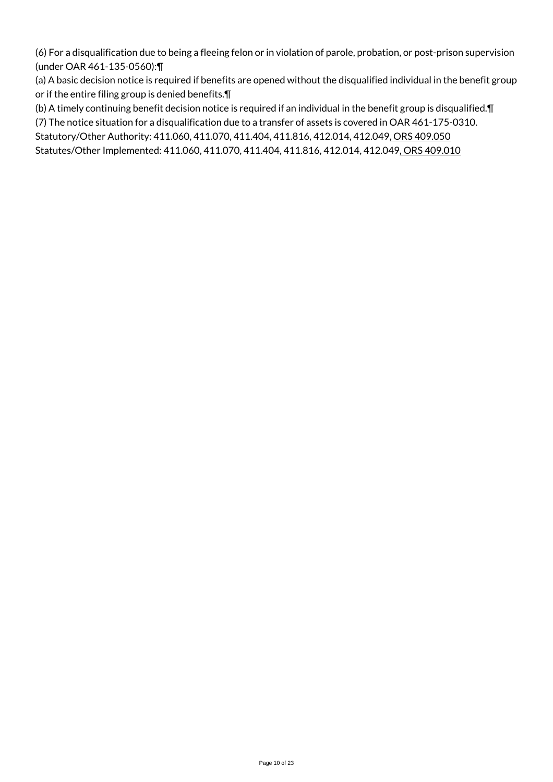(6) For a disqualification due to being a fleeing felon or in violation of parole, probation, or post-prison supervision (under OAR 461-135-0560):¶

(a) A basic decision notice is required if benefits are opened without the disqualified individual in the benefit group or if the entire filing group is denied benefits.¶

(b) A timely continuing benefit decision notice is required if an individual in the benefit group is disqualified.¶

(7) The notice situation for a disqualification due to a transfer of assets is covered in OAR 461-175-0310.

Statutory/Other Authority: 411.060, 411.070, 411.404, 411.816, 412.014, 412.049, ORS 409.050

Statutes/Other Implemented: 411.060, 411.070, 411.404, 411.816, 412.014, 412.049, ORS 409.010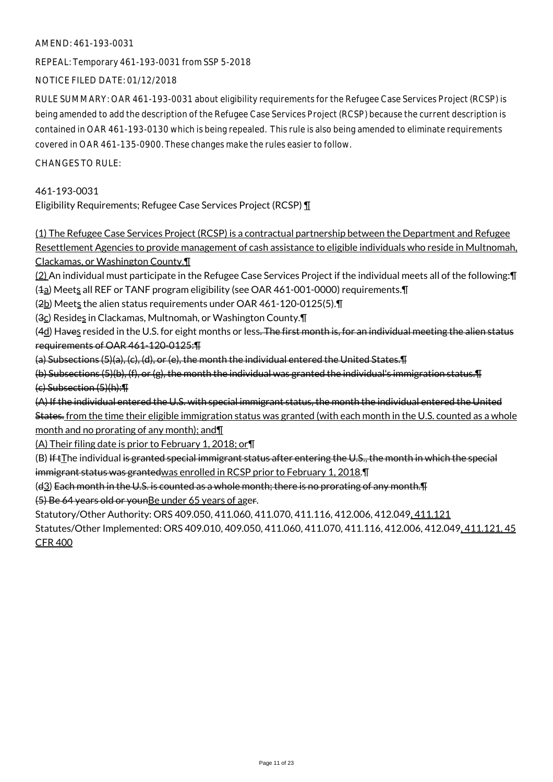## AMEND: 461-193-0031

REPEAL: Temporary 461-193-0031 from SSP 5-2018

NOTICE FILED DATE: 01/12/2018

RULE SUMMARY: OAR 461-193-0031 about eligibility requirements for the Refugee Case Services Project (RCSP) is being amended to add the description of the Refugee Case Services Project (RCSP) because the current description is contained in OAR 461-193-0130 which is being repealed. This rule is also being amended to eliminate requirements covered in OAR 461-135-0900. These changes make the rules easier to follow.

CHANGES TO RULE:

461-193-0031 Eligibility Requirements; Refugee Case Services Project (RCSP) ¶

(1) The Refugee Case Services Project (RCSP) is a contractual partnership between the Department and Refugee Resettlement Agencies to provide management of cash assistance to eligible individuals who reside in Multnomah, Clackamas, or Washington County.¶

(2) An individual must participate in the Refugee Case Services Project if the individual meets all of the following:¶ ( $\pm$ a) Meets all REF or TANF program eligibility (see OAR 461-001-0000) requirements. [[

(2b) Meets the alien status requirements under OAR 461-120-0125(5).

(3c) Resides in Clackamas, Multnomah, or Washington County. $\P$ 

(4d) Haves resided in the U.S. for eight months or less. The first month is, for an individual meeting the alien status requirements of OAR 461-120-0125:¶

(a) Subsections (5)(a), (c), (d), or (e), the month the individual entered the United States.¶

(b) Subsections (5)(b), (f), or (g), the month the individual was granted the individual's immigration status.¶ (c) Subsection (5)(h):¶

(A) If the individual entered the U.S. with special immigrant status, the month the individual entered the United States. from the time their eligible immigration status was granted (with each month in the U.S. counted as a whole month and no prorating of any month); and¶

(A) Their filing date is prior to February 1, 2018; or¶

 $(B)$  If  $t$ The individual is granted special immigrant status after entering the U.S., the month in which the special immigrant status was grantedwas enrolled in RCSP prior to February 1, 2018.¶

(d3) Each month in the U.S. is counted as a whole month; there is no prorating of any month.¶

(5) Be 64 years old or younBe under 65 years of ager.

Statutory/Other Authority: ORS 409.050, 411.060, 411.070, 411.116, 412.006, 412.049, 411.121

Statutes/Other Implemented: ORS 409.010, 409.050, 411.060, 411.070, 411.116, 412.006, 412.049, 411.121, 45 CFR 400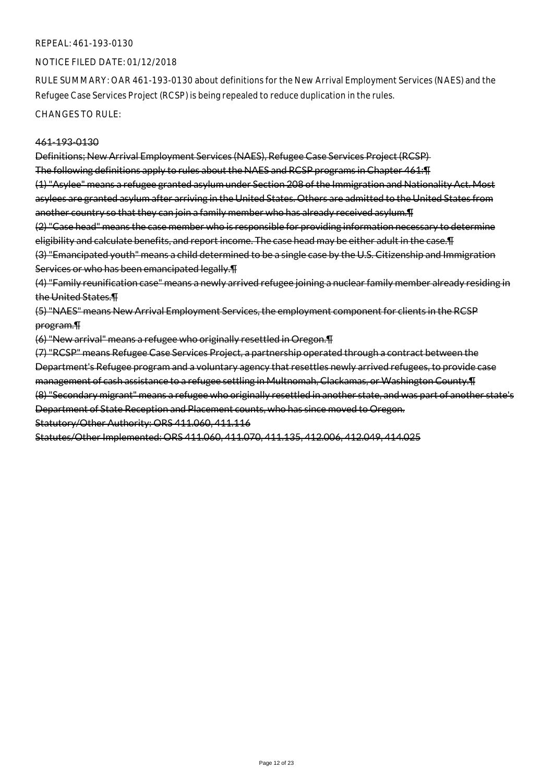### NOTICE FILED DATE: 01/12/2018

RULE SUMMARY: OAR 461-193-0130 about definitions for the New Arrival Employment Services (NAES) and the Refugee Case Services Project (RCSP) is being repealed to reduce duplication in the rules.

CHANGES TO RULE:

#### 461-193-0130

Definitions; New Arrival Employment Services (NAES), Refugee Case Services Project (RCSP) The following definitions apply to rules about the NAES and RCSP programs in Chapter 461:¶ (1) "Asylee" means a refugee granted asylum under Section 208 of the Immigration and Nationality Act. Most asylees are granted asylum after arriving in the United States. Others are admitted to the United States from

another country so that they can join a family member who has already received asylum. The anomal states as  $\mu$ 

(2) "Case head" means the case member who is responsible for providing information necessary to determine eligibility and calculate benefits, and report income. The case head may be either adult in the case.¶

(3) "Emancipated youth" means a child determined to be a single case by the U.S. Citizenship and Immigration Services or who has been emancipated legally.¶

(4) "Family reunification case" means a newly arrived refugee joining a nuclear family member already residing in the United States.¶

(5) "NAES" means New Arrival Employment Services, the employment component for clients in the RCSP program.¶

(6) "New arrival" means a refugee who originally resettled in Oregon.¶

(7) "RCSP" means Refugee Case Services Project, a partnership operated through a contract between the Department's Refugee program and a voluntary agency that resettles newly arrived refugees, to provide case management of cash assistance to a refugee settling in Multnomah, Clackamas, or Washington County.¶ (8) "Secondary migrant" means a refugee who originally resettled in another state, and was part of another state's Department of State Reception and Placement counts, who has since moved to Oregon. Statutory/Other Authority: ORS 411.060, 411.116

Statutes/Other Implemented: ORS 411.060, 411.070, 411.135, 412.006, 412.049, 414.025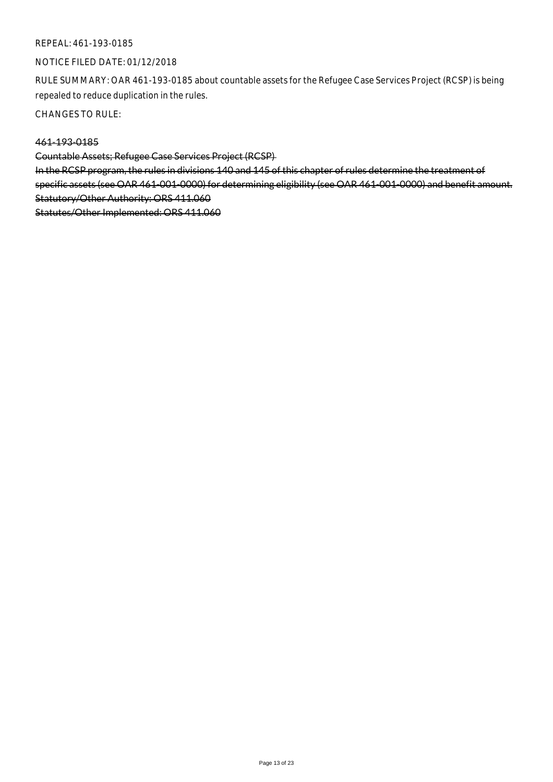## NOTICE FILED DATE: 01/12/2018

RULE SUMMARY: OAR 461-193-0185 about countable assets for the Refugee Case Services Project (RCSP) is being repealed to reduce duplication in the rules.

CHANGES TO RULE:

## 461-193-0185

Countable Assets; Refugee Case Services Project (RCSP)

In the RCSP program, the rules in divisions 140 and 145 of this chapter of rules determine the treatment of specific assets (see OAR 461-001-0000) for determining eligibility (see OAR 461-001-0000) and benefit amount. Statutory/Other Authority: ORS 411.060 Statutes/Other Implemented: ORS 411.060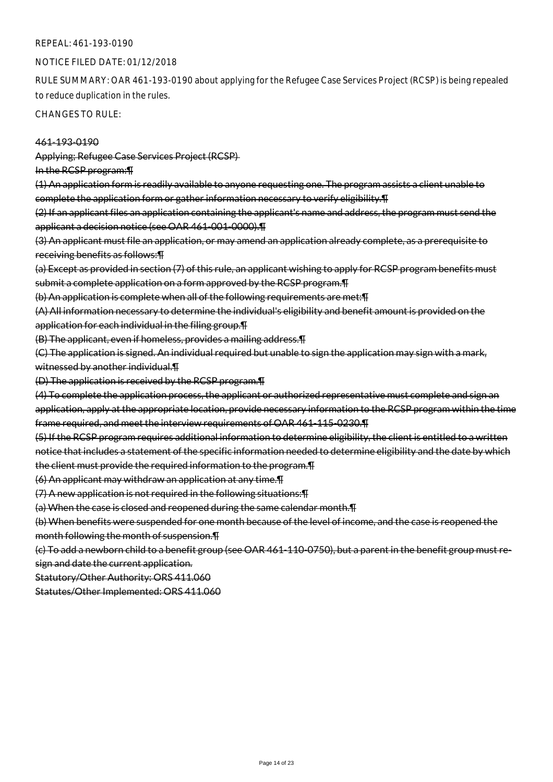### NOTICE FILED DATE: 01/12/2018

RULE SUMMARY: OAR 461-193-0190 about applying for the Refugee Case Services Project (RCSP) is being repealed to reduce duplication in the rules.

CHANGES TO RULE:

#### 461-193-0190

Applying; Refugee Case Services Project (RCSP)

In the RCSP program:¶

(1) An application form is readily available to anyone requesting one. The program assists a client unable to complete the application form or gather information necessary to verify eligibility.¶

(2) If an applicant files an application containing the applicant's name and address, the program must send the applicant a decision notice (see OAR 461-001-0000).¶

(3) An applicant must file an application, or may amend an application already complete, as a prerequisite to receiving benefits as follows:¶

(a) Except as provided in section (7) of this rule, an applicant wishing to apply for RCSP program benefits must submit a complete application on a form approved by the RCSP program.¶

(b) An application is complete when all of the following requirements are met:¶

(A) All information necessary to determine the individual's eligibility and benefit amount is provided on the application for each individual in the filing group.¶

(B) The applicant, even if homeless, provides a mailing address.¶

(C) The application is signed. An individual required but unable to sign the application may sign with a mark, witnessed by another individual.¶

(D) The application is received by the RCSP program.¶

(4) To complete the application process, the applicant or authorized representative must complete and sign an application, apply at the appropriate location, provide necessary information to the RCSP program within the time frame required, and meet the interview requirements of OAR 461-115-0230.¶

(5) If the RCSP program requires additional information to determine eligibility, the client is entitled to a written notice that includes a statement of the specific information needed to determine eligibility and the date by which the client must provide the required information to the program.¶

(6) An applicant may withdraw an application at any time.¶

(7) A new application is not required in the following situations:¶

(a) When the case is closed and reopened during the same calendar month.¶

(b) When benefits were suspended for one month because of the level of income, and the case is reopened the month following the month of suspension.¶

(c) To add a newborn child to a benefit group (see OAR 461-110-0750), but a parent in the benefit group must resign and date the current application.

Statutory/Other Authority: ORS 411.060

Statutes/Other Implemented: ORS 411.060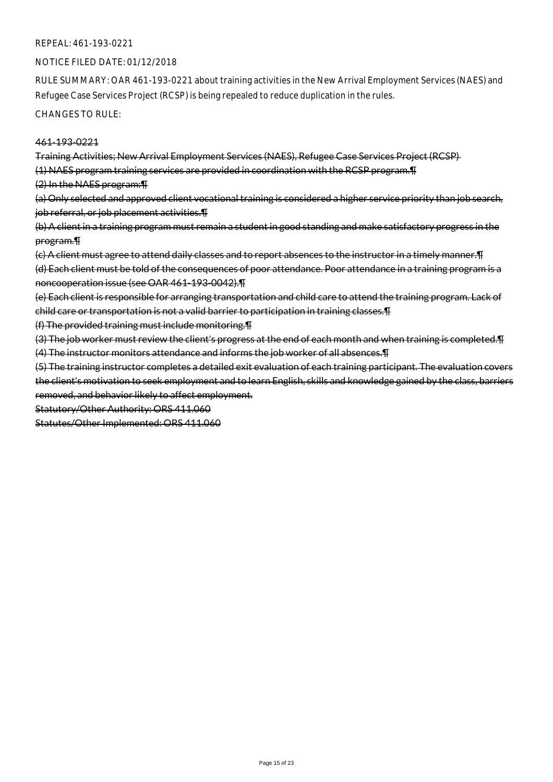#### NOTICE FILED DATE: 01/12/2018

RULE SUMMARY: OAR 461-193-0221 about training activities in the New Arrival Employment Services (NAES) and Refugee Case Services Project (RCSP) is being repealed to reduce duplication in the rules.

CHANGES TO RULE:

#### 461-193-0221

Training Activities; New Arrival Employment Services (NAES), Refugee Case Services Project (RCSP)

(1) NAES program training services are provided in coordination with the RCSP program.¶

(2) In the NAES program:¶

(a) Only selected and approved client vocational training is considered a higher service priority than job search, job referral, or job placement activities. I

(b) A client in a training program must remain a student in good standing and make satisfactory progress in the program.¶

(c) A client must agree to attend daily classes and to report absences to the instructor in a timely manner.¶ (d) Each client must be told of the consequences of poor attendance. Poor attendance in a training program is a noncooperation issue (see OAR 461-193-0042).¶

(e) Each client is responsible for arranging transportation and child care to attend the training program. Lack of child care or transportation is not a valid barrier to participation in training classes.¶

(f) The provided training must include monitoring.¶

(3) The job worker must review the client's progress at the end of each month and when training is completed.¶ (4) The instructor monitors attendance and informs the job worker of all absences.¶

(5) The training instructor completes a detailed exit evaluation of each training participant. The evaluation covers the client's motivation to seek employment and to learn English, skills and knowledge gained by the class, barriers removed, and behavior likely to affect employment.

Statutory/Other Authority: ORS 411.060

Statutes/Other Implemented: ORS 411.060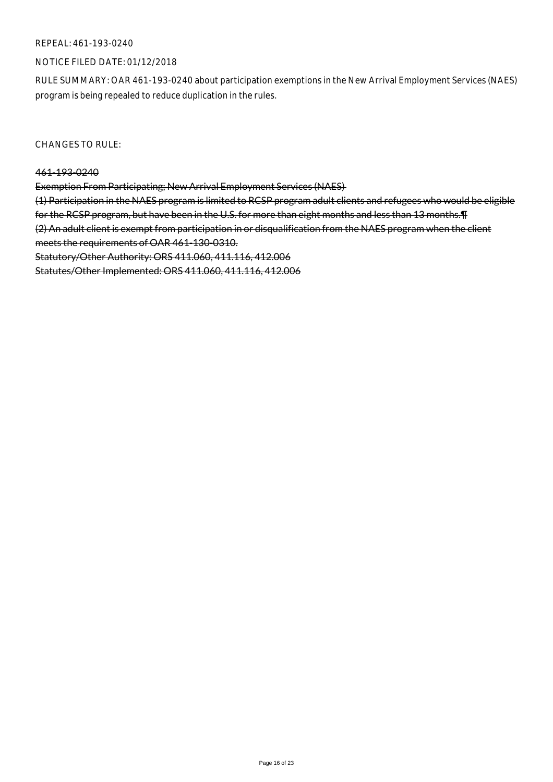## NOTICE FILED DATE: 01/12/2018

RULE SUMMARY: OAR 461-193-0240 about participation exemptions in the New Arrival Employment Services (NAES) program is being repealed to reduce duplication in the rules.

CHANGES TO RULE:

#### 461-193-0240

Exemption From Participating; New Arrival Employment Services (NAES)

(1) Participation in the NAES program is limited to RCSP program adult clients and refugees who would be eligible for the RCSP program, but have been in the U.S. for more than eight months and less than 13 months.¶ (2) An adult client is exempt from participation in or disqualification from the NAES program when the client meets the requirements of OAR 461-130-0310.

Statutory/Other Authority: ORS 411.060, 411.116, 412.006

Statutes/Other Implemented: ORS 411.060, 411.116, 412.006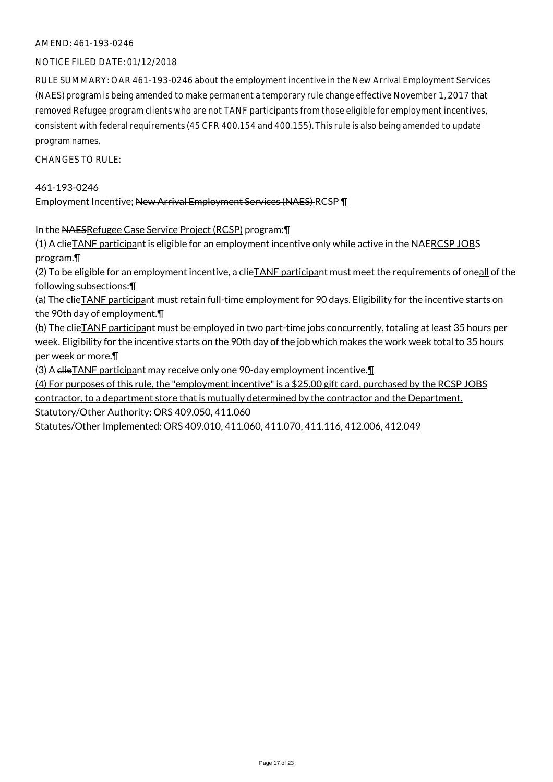## AMEND: 461-193-0246

## NOTICE FILED DATE: 01/12/2018

RULE SUMMARY: OAR 461-193-0246 about the employment incentive in the New Arrival Employment Services (NAES) program is being amended to make permanent a temporary rule change effective November 1, 2017 that removed Refugee program clients who are not TANF participants from those eligible for employment incentives, consistent with federal requirements (45 CFR 400.154 and 400.155). This rule is also being amended to update program names.

CHANGES TO RULE:

461-193-0246 Employment Incentive; New Arrival Employment Services (NAES) RCSP \[

In the NAESRefugee Case Service Project (RCSP) program:¶

(1) A clieTANF participant is eligible for an employment incentive only while active in the NAERCSP JOBS program.¶

(2) To be eligible for an employment incentive, a clieTANF participant must meet the requirements of oneall of the following subsections:¶

(a) The clieTANF participant must retain full-time employment for 90 days. Eligibility for the incentive starts on the 90th day of employment.¶

(b) The elieTANF participant must be employed in two part-time jobs concurrently, totaling at least 35 hours per week. Eligibility for the incentive starts on the 90th day of the job which makes the work week total to 35 hours per week or more.¶

(3) A  $e$ **HieTANF** participant may receive only one 90-day employment incentive. $\mathbf{I}$ 

(4) For purposes of this rule, the "employment incentive" is a \$25.00 gift card, purchased by the RCSP JOBS contractor, to a department store that is mutually determined by the contractor and the Department. Statutory/Other Authority: ORS 409.050, 411.060

Statutes/Other Implemented: ORS 409.010, 411.060, 411.070, 411.116, 412.006, 412.049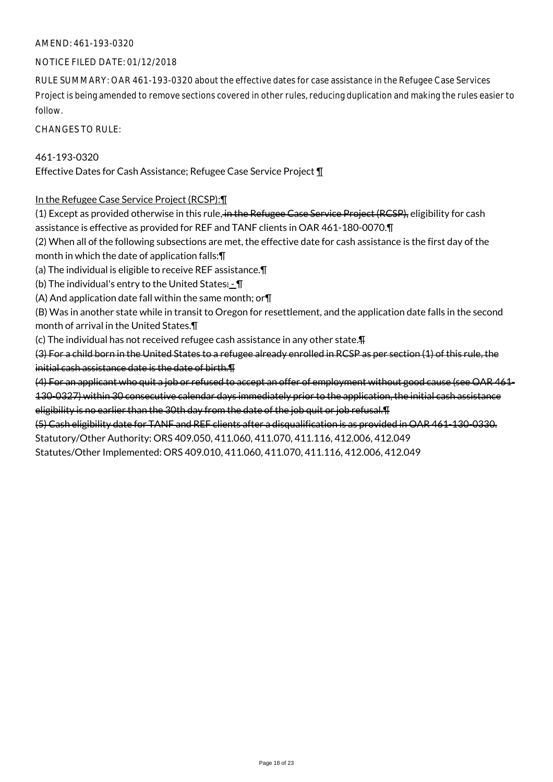## AMEND: 461-193-0320

### NOTICE FILED DATE: 01/12/2018

RULE SUMMARY: OAR 461-193-0320 about the effective dates for case assistance in the Refugee Case Services Project is being amended to remove sections covered in other rules, reducing duplication and making the rules easier to follow.

CHANGES TO RULE:

461-193-0320 Effective Dates for Cash Assistance; Refugee Case Service Project ¶

## In the Refugee Case Service Project (RCSP):¶

(1) Except as provided otherwise in this rule, in the Refugee Case Service Project (RCSP), eligibility for cash assistance is effective as provided for REF and TANF clients in OAR 461-180-0070.¶ (2) When all of the following subsections are met, the effective date for cash assistance is the first day of the month in which the date of application falls:¶ (a) The individual is eligible to receive REF assistance.¶ (b) The individual's entry to the United States: - ¶ (A) And application date fall within the same month; or¶ (B) Was in another state while in transit to Oregon for resettlement, and the application date falls in the second month of arrival in the United States.¶ (c) The individual has not received refugee cash assistance in any other state.¶ (3) For a child born in the United States to a refugee already enrolled in RCSP as per section (1) of this rule, the initial cash assistance date is the date of birth.¶ (4) For an applicant who quit a job or refused to accept an offer of employment without good cause (see OAR 461- 130-0327) within 30 consecutive calendar days immediately prior to the application, the initial cash assistance

eligibility is no earlier than the 30th day from the date of the job quit or job refusal.¶

(5) Cash eligibility date for TANF and REF clients after a disqualification is as provided in OAR 461-130-0330.

Statutory/Other Authority: ORS 409.050, 411.060, 411.070, 411.116, 412.006, 412.049

Statutes/Other Implemented: ORS 409.010, 411.060, 411.070, 411.116, 412.006, 412.049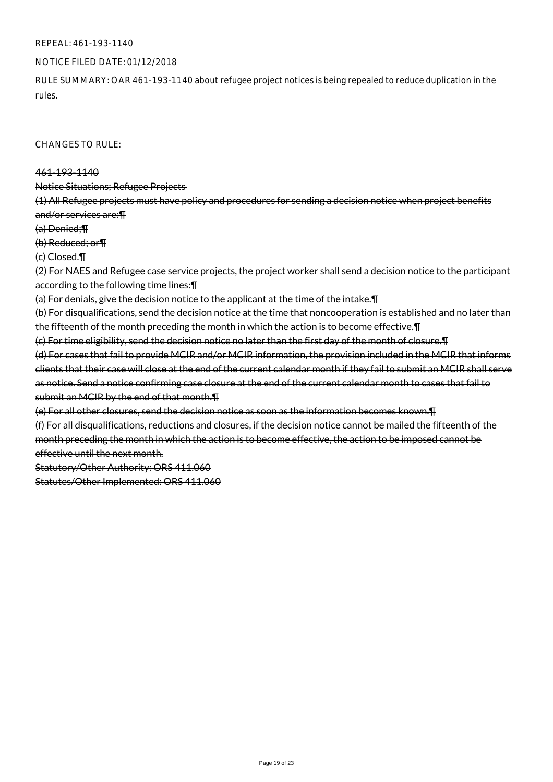### NOTICE FILED DATE: 01/12/2018

RULE SUMMARY: OAR 461-193-1140 about refugee project notices is being repealed to reduce duplication in the rules.

#### CHANGES TO RULE:

#### 461-193-1140

Notice Situations; Refugee Projects

(1) All Refugee projects must have policy and procedures for sending a decision notice when project benefits and/or services are:¶

(a) Denied;¶

(b) Reduced; or¶

(c) Closed.¶

(2) For NAES and Refugee case service projects, the project worker shall send a decision notice to the participant according to the following time lines:¶

(a) For denials, give the decision notice to the applicant at the time of the intake.¶

(b) For disqualifications, send the decision notice at the time that noncooperation is established and no later than the fifteenth of the month preceding the month in which the action is to become effective.¶

(c) For time eligibility, send the decision notice no later than the first day of the month of closure.¶ (d) For cases that fail to provide MCIR and/or MCIR information, the provision included in the MCIR that informs clients that their case will close at the end of the current calendar month if they fail to submit an MCIR shall serve as notice. Send a notice confirming case closure at the end of the current calendar month to cases that fail to submit an MCIR by the end of that month.¶

(e) For all other closures, send the decision notice as soon as the information becomes known.¶

(f) For all disqualifications, reductions and closures, if the decision notice cannot be mailed the fifteenth of the month preceding the month in which the action is to become effective, the action to be imposed cannot be effective until the next month.

Statutory/Other Authority: ORS 411.060

Statutes/Other Implemented: ORS 411.060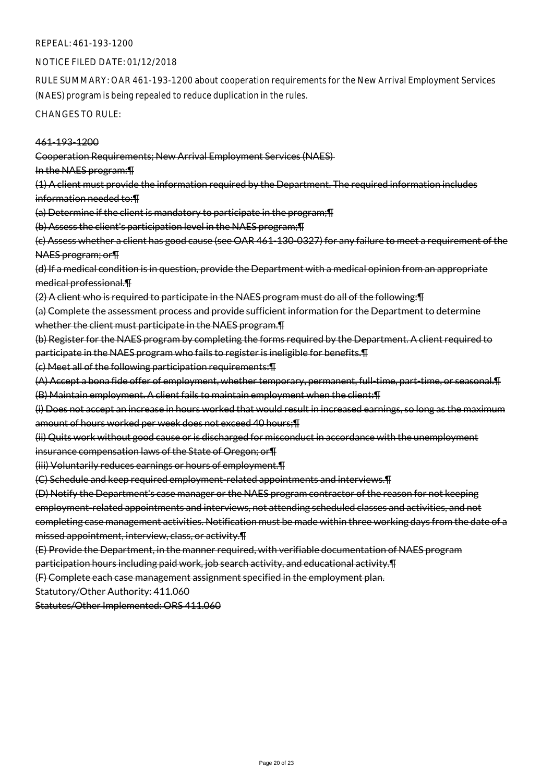### NOTICE FILED DATE: 01/12/2018

RULE SUMMARY: OAR 461-193-1200 about cooperation requirements for the New Arrival Employment Services (NAES) program is being repealed to reduce duplication in the rules.

CHANGES TO RULE:

## 461-193-1200

Cooperation Requirements; New Arrival Employment Services (NAES)

In the NAES program:¶

(1) A client must provide the information required by the Department. The required information includes information needed to:¶

(a) Determine if the client is mandatory to participate in the program;¶

(b) Assess the client's participation level in the NAES program;¶

(c) Assess whether a client has good cause (see OAR 461-130-0327) for any failure to meet a requirement of the NAES program; or¶

(d) If a medical condition is in question, provide the Department with a medical opinion from an appropriate medical professional.¶

(2) A client who is required to participate in the NAES program must do all of the following:¶

(a) Complete the assessment process and provide sufficient information for the Department to determine whether the client must participate in the NAES program. T

(b) Register for the NAES program by completing the forms required by the Department. A client required to participate in the NAES program who fails to register is ineligible for benefits.¶

(c) Meet all of the following participation requirements:¶

(A) Accept a bona fide offer of employment, whether temporary, permanent, full-time, part-time, or seasonal.¶ (B) Maintain employment. A client fails to maintain employment when the client:¶

(i) Does not accept an increase in hours worked that would result in increased earnings, so long as the maximum amount of hours worked per week does not exceed 40 hours;¶

(ii) Quits work without good cause or is discharged for misconduct in accordance with the unemployment insurance compensation laws of the State of Oregon; or¶

(iii) Voluntarily reduces earnings or hours of employment.¶

(C) Schedule and keep required employment-related appointments and interviews.¶

(D) Notify the Department's case manager or the NAES program contractor of the reason for not keeping employment-related appointments and interviews, not attending scheduled classes and activities, and not completing case management activities. Notification must be made within three working days from the date of a missed appointment, interview, class, or activity.¶

(E) Provide the Department, in the manner required, with verifiable documentation of NAES program

participation hours including paid work, job search activity, and educational activity.¶

(F) Complete each case management assignment specified in the employment plan.

Statutory/Other Authority: 411.060

Statutes/Other Implemented: ORS 411.060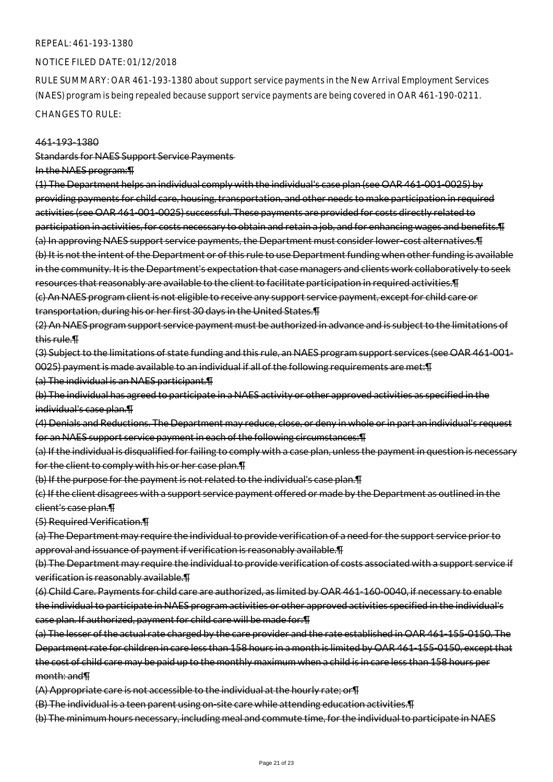#### NOTICE FILED DATE: 01/12/2018

RULE SUMMARY: OAR 461-193-1380 about support service payments in the New Arrival Employment Services (NAES) program is being repealed because support service payments are being covered in OAR 461-190-0211.

CHANGES TO RULE:

#### 461-193-1380

Standards for NAES Support Service Payments

#### In the NAES program:¶

(1) The Department helps an individual comply with the individual's case plan (see OAR 461-001-0025) by providing payments for child care, housing, transportation, and other needs to make participation in required activities (see OAR 461-001-0025) successful. These payments are provided for costs directly related to participation in activities, for costs necessary to obtain and retain a job, and for enhancing wages and benefits.¶ (a) In approving NAES support service payments, the Department must consider lower-cost alternatives.¶ (b) It is not the intent of the Department or of this rule to use Department funding when other funding is available in the community. It is the Department's expectation that case managers and clients work collaboratively to seek resources that reasonably are available to the client to facilitate participation in required activities.¶ (c) An NAES program client is not eligible to receive any support service payment, except for child care or transportation, during his or her first 30 days in the United States.¶

(2) An NAES program support service payment must be authorized in advance and is subject to the limitations of this rule.¶

(3) Subject to the limitations of state funding and this rule, an NAES program support services (see OAR 461-001- 0025) payment is made available to an individual if all of the following requirements are met:¶

(a) The individual is an NAES participant.¶

(b) The individual has agreed to participate in a NAES activity or other approved activities as specified in the individual's case plan.¶

(4) Denials and Reductions. The Department may reduce, close, or deny in whole or in part an individual's request for an NAES support service payment in each of the following circumstances:¶

(a) If the individual is disqualified for failing to comply with a case plan, unless the payment in question is necessary for the client to comply with his or her case plan.¶

(b) If the purpose for the payment is not related to the individual's case plan.¶

(c) If the client disagrees with a support service payment offered or made by the Department as outlined in the client's case plan.¶

(5) Required Verification.¶

(a) The Department may require the individual to provide verification of a need for the support service prior to approval and issuance of payment if verification is reasonably available.¶

(b) The Department may require the individual to provide verification of costs associated with a support service if verification is reasonably available.¶

(6) Child Care. Payments for child care are authorized, as limited by OAR 461-160-0040, if necessary to enable the individual to participate in NAES program activities or other approved activities specified in the individual's case plan. If authorized, payment for child care will be made for:¶

(a) The lesser of the actual rate charged by the care provider and the rate established in OAR 461-155-0150. The Department rate for children in care less than 158 hours in a month is limited by OAR 461-155-0150, except that the cost of child care may be paid up to the monthly maximum when a child is in care less than 158 hours per month: and¶

(A) Appropriate care is not accessible to the individual at the hourly rate; or¶

(B) The individual is a teen parent using on-site care while attending education activities.¶

(b) The minimum hours necessary, including meal and commute time, for the individual to participate in NAES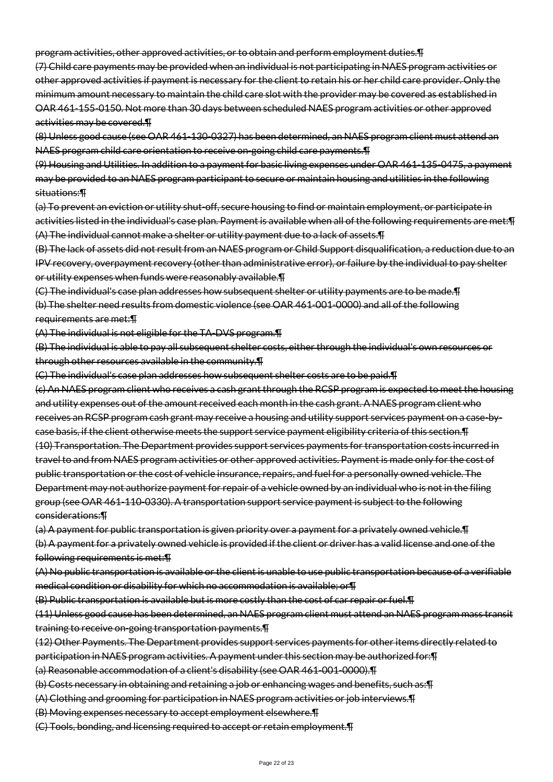program activities, other approved activities, or to obtain and perform employment duties.¶

(7) Child care payments may be provided when an individual is not participating in NAES program activities or other approved activities if payment is necessary for the client to retain his or her child care provider. Only the minimum amount necessary to maintain the child care slot with the provider may be covered as established in OAR 461-155-0150. Not more than 30 days between scheduled NAES program activities or other approved activities may be covered.¶

(8) Unless good cause (see OAR 461-130-0327) has been determined, an NAES program client must attend an NAES program child care orientation to receive on-going child care payments.¶

(9) Housing and Utilities. In addition to a payment for basic living expenses under OAR 461-135-0475, a payment may be provided to an NAES program participant to secure or maintain housing and utilities in the following situations:¶

(a) To prevent an eviction or utility shut-off, secure housing to find or maintain employment, or participate in activities listed in the individual's case plan. Payment is available when all of the following requirements are met:¶ (A) The individual cannot make a shelter or utility payment due to a lack of assets.¶

(B) The lack of assets did not result from an NAES program or Child Support disqualification, a reduction due to an IPV recovery, overpayment recovery (other than administrative error), or failure by the individual to pay shelter or utility expenses when funds were reasonably available.¶

(C) The individual's case plan addresses how subsequent shelter or utility payments are to be made.¶ (b) The shelter need results from domestic violence (see OAR 461-001-0000) and all of the following requirements are met:¶

(A) The individual is not eligible for the TA-DVS program.¶

(B) The individual is able to pay all subsequent shelter costs, either through the individual's own resources or through other resources available in the community.¶

(C) The individual's case plan addresses how subsequent shelter costs are to be paid.¶

(c) An NAES program client who receives a cash grant through the RCSP program is expected to meet the housing and utility expenses out of the amount received each month in the cash grant. A NAES program client who receives an RCSP program cash grant may receive a housing and utility support services payment on a case-bycase basis, if the client otherwise meets the support service payment eligibility criteria of this section.¶ (10) Transportation. The Department provides support services payments for transportation costs incurred in travel to and from NAES program activities or other approved activities. Payment is made only for the cost of public transportation or the cost of vehicle insurance, repairs, and fuel for a personally owned vehicle. The Department may not authorize payment for repair of a vehicle owned by an individual who is not in the filing group (see OAR 461-110-0330). A transportation support service payment is subject to the following considerations:¶

(a) A payment for public transportation is given priority over a payment for a privately owned vehicle.¶ (b) A payment for a privately owned vehicle is provided if the client or driver has a valid license and one of the following requirements is met:¶

(A) No public transportation is available or the client is unable to use public transportation because of a verifiable medical condition or disability for which no accommodation is available; or¶

(B) Public transportation is available but is more costly than the cost of car repair or fuel.¶

(11) Unless good cause has been determined, an NAES program client must attend an NAES program mass transit training to receive on-going transportation payments.¶

(12) Other Payments. The Department provides support services payments for other items directly related to participation in NAES program activities. A payment under this section may be authorized for:¶

(a) Reasonable accommodation of a client's disability (see OAR 461-001-0000).¶

(b) Costs necessary in obtaining and retaining a job or enhancing wages and benefits, such as:¶

(A) Clothing and grooming for participation in NAES program activities or job interviews.¶

(B) Moving expenses necessary to accept employment elsewhere.¶

(C) Tools, bonding, and licensing required to accept or retain employment.¶